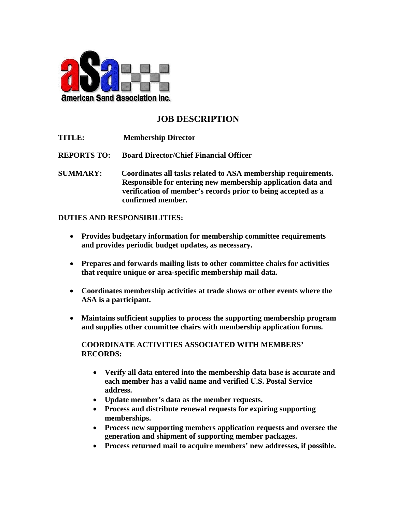

## **JOB DESCRIPTION**

**TITLE: Membership Director**

**REPORTS TO: Board Director/Chief Financial Officer**

**SUMMARY: Coordinates all tasks related to ASA membership requirements. Responsible for entering new membership application data and verification of member's records prior to being accepted as a confirmed member.** 

## **DUTIES AND RESPONSIBILITIES:**

- **Provides budgetary information for membership committee requirements and provides periodic budget updates, as necessary.**
- **Prepares and forwards mailing lists to other committee chairs for activities that require unique or area-specific membership mail data.**
- **Coordinates membership activities at trade shows or other events where the ASA is a participant.**
- **Maintains sufficient supplies to process the supporting membership program and supplies other committee chairs with membership application forms.**

**COORDINATE ACTIVITIES ASSOCIATED WITH MEMBERS' RECORDS:**

- **Verify all data entered into the membership data base is accurate and each member has a valid name and verified U.S. Postal Service address.**
- **Update member's data as the member requests.**
- **Process and distribute renewal requests for expiring supporting memberships.**
- **Process new supporting members application requests and oversee the generation and shipment of supporting member packages.**
- **Process returned mail to acquire members' new addresses, if possible.**